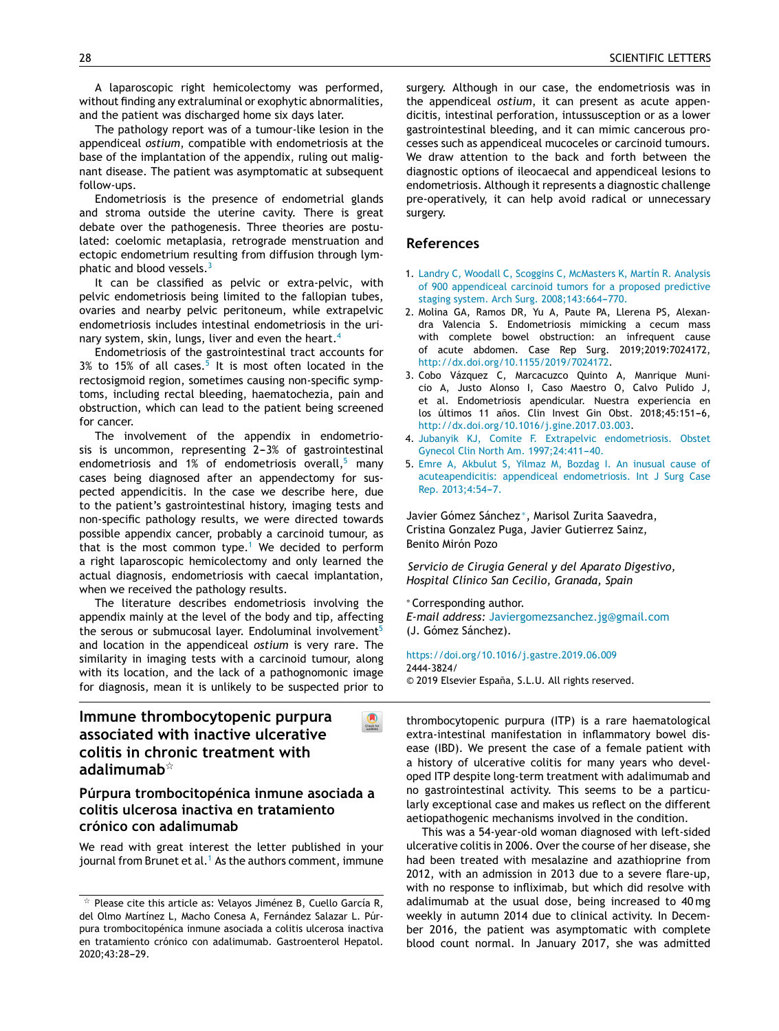A [laparoscopic](http://refhub.elsevier.com/S2173-5743(19)30128-5/sbref0120) ri[ght](http://refhub.elsevier.com/S2173-5743(19)30128-5/sbref0120) [hemicolectomy](http://refhub.elsevier.com/S2173-5743(19)30128-5/sbref0120) [was](http://refhub.elsevier.com/S2173-5743(19)30128-5/sbref0120) p[erforme](http://refhub.elsevier.com/S2173-5743(19)30128-5/sbref0120)d, [without](http://refhub.elsevier.com/S2173-5743(19)30128-5/sbref0120) fi[nding](http://refhub.elsevier.com/S2173-5743(19)30128-5/sbref0120) any [extraluminal](http://refhub.elsevier.com/S2173-5743(19)30128-5/sbref0120) or [exophytic](http://refhub.elsevier.com/S2173-5743(19)30128-5/sbref0120) [abnormalitie](http://refhub.elsevier.com/S2173-5743(19)30128-5/sbref0120)s, [and](http://refhub.elsevier.com/S2173-5743(19)30128-5/sbref0005) the [pa](http://refhub.elsevier.com/S2173-5743(19)30128-5/sbref0005)[ti](http://refhub.elsevier.com/S2173-5743(19)30128-5/sbref0120)[ent](http://refhub.elsevier.com/S2173-5743(19)30128-5/sbref0005) was [discharged](http://refhub.elsevier.com/S2173-5743(19)30128-5/sbref0005) ho[me](http://refhub.elsevier.com/S2173-5743(19)30128-5/sbref0005) six days [later.](http://refhub.elsevier.com/S2173-5743(19)30128-5/sbref0005)

[The](http://refhub.elsevier.com/S2173-5743(19)30128-5/sbref0005) [path](http://refhub.elsevier.com/S2173-5743(19)30128-5/sbref0005)[o](http://refhub.elsevier.com/S2173-5743(19)30128-5/sbref0125)[l](http://refhub.elsevier.com/S2173-5743(19)30128-5/sbref0005)[og](http://refhub.elsevier.com/S2173-5743(19)30128-5/sbref0125)y [report](http://refhub.elsevier.com/S2173-5743(19)30128-5/sbref0005) [w](http://refhub.elsevier.com/S2173-5743(19)30128-5/sbref0125)as [of](http://refhub.elsevier.com/S2173-5743(19)30128-5/sbref0125) a [tumo](http://refhub.elsevier.com/S2173-5743(19)30128-5/sbref0005)[u](http://refhub.elsevier.com/S2173-5743(19)30128-5/sbref0125)[r-li](http://refhub.elsevier.com/S2173-5743(19)30128-5/sbref0005)[ke](http://refhub.elsevier.com/S2173-5743(19)30128-5/sbref0125) l[esion](http://refhub.elsevier.com/S2173-5743(19)30128-5/sbref0125) in [th](http://refhub.elsevier.com/S2173-5743(19)30128-5/sbref0125)e [appendiceal](http://refhub.elsevier.com/S2173-5743(19)30128-5/sbref0010) *[ostium](http://refhub.elsevier.com/S2173-5743(19)30128-5/sbref0010)*[,](http://refhub.elsevier.com/S2173-5743(19)30128-5/sbref0010) [c](http://refhub.elsevier.com/S2173-5743(19)30128-5/sbref0125)[ompatibl](http://refhub.elsevier.com/S2173-5743(19)30128-5/sbref0010)[e](http://refhub.elsevier.com/S2173-5743(19)30128-5/sbref0125) [w](http://refhub.elsevier.com/S2173-5743(19)30128-5/sbref0125)[ith](http://refhub.elsevier.com/S2173-5743(19)30128-5/sbref0010) [en](http://refhub.elsevier.com/S2173-5743(19)30128-5/sbref0125)[dometri](http://refhub.elsevier.com/S2173-5743(19)30128-5/sbref0010)[o](http://refhub.elsevier.com/S2173-5743(19)30128-5/sbref0125)[si](http://refhub.elsevier.com/S2173-5743(19)30128-5/sbref0010)[s](http://refhub.elsevier.com/S2173-5743(19)30128-5/sbref0125) [at](http://refhub.elsevier.com/S2173-5743(19)30128-5/sbref0010) the [base](http://refhub.elsevier.com/S2173-5743(19)30128-5/sbref0010) of the [imp](http://refhub.elsevier.com/S2173-5743(19)30128-5/sbref0125)[lantatio](http://refhub.elsevier.com/S2173-5743(19)30128-5/sbref0010)n [of](http://refhub.elsevier.com/S2173-5743(19)30128-5/sbref0010) the [appendix,](http://refhub.elsevier.com/S2173-5743(19)30128-5/sbref0010) [ru](http://refhub.elsevier.com/S2173-5743(19)30128-5/sbref0010)l[ing](http://refhub.elsevier.com/S2173-5743(19)30128-5/sbref0010) out [mali](http://refhub.elsevier.com/S2173-5743(19)30128-5/sbref0010)g[nant](http://refhub.elsevier.com/S2173-5743(19)30128-5/sbref0010) [dise](http://refhub.elsevier.com/S2173-5743(19)30128-5/sbref0130)[ase.](http://refhub.elsevier.com/S2173-5743(19)30128-5/sbref0010) [The](http://refhub.elsevier.com/S2173-5743(19)30128-5/sbref0130) [patient](http://refhub.elsevier.com/S2173-5743(19)30128-5/sbref0010) [w](http://refhub.elsevier.com/S2173-5743(19)30128-5/sbref0015)[as](http://refhub.elsevier.com/S2173-5743(19)30128-5/sbref0130) [a](http://refhub.elsevier.com/S2173-5743(19)30128-5/sbref0010)[symptomatic](http://refhub.elsevier.com/S2173-5743(19)30128-5/sbref0130) [at](http://refhub.elsevier.com/S2173-5743(19)30128-5/sbref0015) [subsequent](http://www.elsevier.es/gastroenterologia) [fo](http://refhub.elsevier.com/S2173-5743(19)30128-5/sbref0015)[llow-u](http://refhub.elsevier.com/S2173-5743(19)30128-5/sbref0130)[p](http://refhub.elsevier.com/S2173-5743(19)30128-5/sbref0015)[s.](http://refhub.elsevier.com/S2173-5743(19)30128-5/sbref0130)

[E](http://refhub.elsevier.com/S2173-5743(19)30128-5/sbref0020)[nd](http://refhub.elsevier.com/S2173-5743(19)30128-5/sbref0130)[o](http://refhub.elsevier.com/S2173-5743(19)30128-5/sbref0015)[metriosis](http://refhub.elsevier.com/S2173-5743(19)30128-5/sbref0130) i[s](http://refhub.elsevier.com/S2173-5743(19)30128-5/sbref0130) [the](http://refhub.elsevier.com/S2173-5743(19)30128-5/sbref0015) [presen](http://refhub.elsevier.com/S2173-5743(19)30128-5/sbref0130)[ce](http://refhub.elsevier.com/S2173-5743(19)30128-5/sbref0015) of [endometrial](http://refhub.elsevier.com/S2173-5743(19)30128-5/sbref0130) [gl](http://refhub.elsevier.com/S2173-5743(19)30128-5/sbref0020)[an](http://refhub.elsevier.com/S2173-5743(19)30128-5/sbref0130)ds [and](http://refhub.elsevier.com/S2173-5743(19)30128-5/sbref0020) [stroma](http://refhub.elsevier.com/S2173-5743(19)30128-5/sbref0130) [o](http://refhub.elsevier.com/S2173-5743(19)30128-5/sbref0020)[uts](http://refhub.elsevier.com/S2173-5743(19)30128-5/sbref0130)[i](http://refhub.elsevier.com/S2173-5743(19)30128-5/sbref0020)[d](http://refhub.elsevier.com/S2173-5743(19)30128-5/sbref0130)[e](http://refhub.elsevier.com/S2173-5743(19)30128-5/sbref0020) [the](http://refhub.elsevier.com/S2173-5743(19)30128-5/sbref0020) [uteri](http://refhub.elsevier.com/S2173-5743(19)30128-5/sbref0130)[ne](http://refhub.elsevier.com/S2173-5743(19)30128-5/sbref0020) [cavity.](http://refhub.elsevier.com/S2173-5743(19)30128-5/sbref0130) [The](http://refhub.elsevier.com/S2173-5743(19)30128-5/sbref0130)[re](http://refhub.elsevier.com/S2173-5743(19)30128-5/sbref0020) i[s](http://refhub.elsevier.com/S2173-5743(19)30128-5/sbref0020) [gre](http://refhub.elsevier.com/S2173-5743(19)30128-5/sbref0020)at [de](http://refhub.elsevier.com/S2173-5743(19)30128-5/sbref0020)[bat](http://refhub.elsevier.com/S2173-5743(19)30128-5/sbref0135)[e](http://refhub.elsevier.com/S2173-5743(19)30128-5/sbref0020) [ov](http://refhub.elsevier.com/S2173-5743(19)30128-5/sbref0135)er [the](http://refhub.elsevier.com/S2173-5743(19)30128-5/sbref0135) [p](http://refhub.elsevier.com/S2173-5743(19)30128-5/sbref0020)[athogenesis.](http://refhub.elsevier.com/S2173-5743(19)30128-5/sbref0135) T[hree](http://refhub.elsevier.com/S2173-5743(19)30128-5/sbref0135) th[eo](http://refhub.elsevier.com/S2173-5743(19)30128-5/sbref0135)ries are [post](http://refhub.elsevier.com/S2173-5743(19)30128-5/sbref0135)u[la](http://refhub.elsevier.com/S2173-5743(19)30128-5/sbref0025)[ted:](http://refhub.elsevier.com/S2173-5743(19)30128-5/sbref0135) [co](http://refhub.elsevier.com/S2173-5743(19)30128-5/sbref0135)[elo](http://refhub.elsevier.com/S2173-5743(19)30128-5/sbref0025)[mic](http://refhub.elsevier.com/S2173-5743(19)30128-5/sbref0135) [me](http://refhub.elsevier.com/S2173-5743(19)30128-5/sbref0025)[t](http://refhub.elsevier.com/S2173-5743(19)30128-5/sbref0135)[a](http://refhub.elsevier.com/S2173-5743(19)30128-5/sbref0025)[pl](http://refhub.elsevier.com/S2173-5743(19)30128-5/sbref0135)[asia,](http://refhub.elsevier.com/S2173-5743(19)30128-5/sbref0025) [retrograd](http://refhub.elsevier.com/S2173-5743(19)30128-5/sbref0135)[e](http://refhub.elsevier.com/S2173-5743(19)30128-5/sbref0025) [me](http://refhub.elsevier.com/S2173-5743(19)30128-5/sbref0135)[nstruatio](http://refhub.elsevier.com/S2173-5743(19)30128-5/sbref0025)n [an](http://refhub.elsevier.com/S2173-5743(19)30128-5/sbref0025)d [ectopi](http://refhub.elsevier.com/S2173-5743(19)30128-5/sbref0025)[c](http://refhub.elsevier.com/S2173-5743(19)30128-5/sbref0140) [endometrium](http://refhub.elsevier.com/S2173-5743(19)30128-5/sbref0025) [re](http://refhub.elsevier.com/S2173-5743(19)30128-5/sbref0140)[sult](http://refhub.elsevier.com/S2173-5743(19)30128-5/sbref0025)[in](http://refhub.elsevier.com/S2173-5743(19)30128-5/sbref0140)g [from](http://refhub.elsevier.com/S2173-5743(19)30128-5/sbref0140) [diffu](http://refhub.elsevier.com/S2173-5743(19)30128-5/sbref0025)[si](http://refhub.elsevier.com/S2173-5743(19)30128-5/sbref0140)[o](http://refhub.elsevier.com/S2173-5743(19)30128-5/sbref0025)[n](http://refhub.elsevier.com/S2173-5743(19)30128-5/sbref0140) [through](http://refhub.elsevier.com/S2173-5743(19)30128-5/sbref0025) [lym](http://crossmark.crossref.org/dialog/?doi=10.1016/j.gastre.2019.07.006&domain=pdf)[phatic](http://refhub.elsevier.com/S2173-5743(19)30128-5/sbref0025) [and](http://refhub.elsevier.com/S2173-5743(19)30128-5/sbref0140) b[l](http://refhub.elsevier.com/S2173-5743(19)30128-5/sbref0140)[ood](http://refhub.elsevier.com/S2173-5743(19)30128-5/sbref0025) [v](http://refhub.elsevier.com/S2173-5743(19)30128-5/sbref0140)[essels.](http://refhub.elsevier.com/S2173-5743(19)30128-5/sbref0025)<sup>3</sup>

[It](http://refhub.elsevier.com/S2173-5743(19)30128-5/sbref0145) can b[e](http://refhub.elsevier.com/S2173-5743(19)30128-5/sbref0145) [classified](http://refhub.elsevier.com/S2173-5743(19)30128-5/sbref0145) [as](http://refhub.elsevier.com/S2173-5743(19)30128-5/sbref0145) [pelvic](http://refhub.elsevier.com/S2173-5743(19)30128-5/sbref0145) [or](http://refhub.elsevier.com/S2173-5743(19)30128-5/sbref0145) [extra-pelvic,](http://refhub.elsevier.com/S2173-5743(19)30128-5/sbref0145) [wi](http://refhub.elsevier.com/S2173-5743(19)30128-5/sbref0145)th p[el](http://refhub.elsevier.com/S2173-5743(19)30128-5/sbref0145)vic [endomet](http://refhub.elsevier.com/S2173-5743(19)30128-5/sbref0145)r[ios](http://refhub.elsevier.com/S2173-5743(19)30128-5/sbref0145)is being limited to the fallopian tubes, o[varies](http://refhub.elsevier.com/S2173-5743(19)30128-5/sbref0150) and [nearby](http://refhub.elsevier.com/S2173-5743(19)30128-5/sbref0150) [pelvic](http://refhub.elsevier.com/S2173-5743(19)30128-5/sbref0150) [per](http://refhub.elsevier.com/S2173-5743(19)30128-5/sbref0150)i[toneum,](http://refhub.elsevier.com/S2173-5743(19)30128-5/sbref0150) while [extrapelv](http://refhub.elsevier.com/S2173-5743(19)30128-5/sbref0150)ic e[ndometriosi](http://refhub.elsevier.com/S2173-5743(19)30128-5/sbref0150)s [includes](http://refhub.elsevier.com/S2173-5743(19)30128-5/sbref0150) [intestinal](http://refhub.elsevier.com/S2173-5743(19)30128-5/sbref0150) [end](http://refhub.elsevier.com/S2173-5743(19)30128-5/sbref0150)ometriosis in the urin[ary](http://refhub.elsevier.com/S2173-5743(19)30128-5/sbref0155) sy[ste](http://refhub.elsevier.com/S2173-5743(19)30128-5/sbref0155)m, [skin,](http://refhub.elsevier.com/S2173-5743(19)30128-5/sbref0155) [lungs,](http://refhub.elsevier.com/S2173-5743(19)30128-5/sbref0155) li[ver](http://refhub.elsevier.com/S2173-5743(19)30128-5/sbref0155) [and](http://refhub.elsevier.com/S2173-5743(19)30128-5/sbref0155) even [the](http://refhub.elsevier.com/S2173-5743(19)30128-5/sbref0155) he[ar](http://refhub.elsevier.com/S2173-5743(19)30128-5/sbref0155)t[.](http://refhub.elsevier.com/S2173-5743(19)30128-5/sbref0155)<sup>4</sup>

[Endometrios](http://refhub.elsevier.com/S2173-5743(19)30128-5/sbref0155)is [of](http://refhub.elsevier.com/S2173-5743(19)30128-5/sbref0155) [the](http://refhub.elsevier.com/S2173-5743(19)30128-5/sbref0155) [gastrointestinal](http://refhub.elsevier.com/S2173-5743(19)30128-5/sbref0155) tract [accounts](http://refhub.elsevier.com/S2173-5743(19)30128-5/sbref0155) for  $3\%$  [to](http://refhub.elsevier.com/S2173-5743(19)30128-5/sbref0155) [15](http://refhub.elsevier.com/S2173-5743(19)30128-5/sbref0155)% [of](http://refhub.elsevier.com/S2173-5743(19)30128-5/sbref0155) all [cases.](http://refhub.elsevier.com/S2173-5743(19)30128-5/sbref0155)<sup>5</sup> It [is](http://refhub.elsevier.com/S2173-5743(19)30128-5/sbref0155) [mos](http://refhub.elsevier.com/S2173-5743(19)30128-5/sbref0155)t [often](http://refhub.elsevier.com/S2173-5743(19)30128-5/sbref0155) loc[ated](http://refhub.elsevier.com/S2173-5743(19)30128-5/sbref0155) in the r[ectosigmoid](http://refhub.elsevier.com/S2173-5743(19)30128-5/sbref0160) r[egion,](http://refhub.elsevier.com/S2173-5743(19)30128-5/sbref0160) [sometimes](http://refhub.elsevier.com/S2173-5743(19)30128-5/sbref0160) c[au](http://refhub.elsevier.com/S2173-5743(19)30128-5/sbref0160)s[ing](http://refhub.elsevier.com/S2173-5743(19)30128-5/sbref0160) no[n-specifi](http://refhub.elsevier.com/S2173-5743(19)30128-5/sbref0160)c [symp](http://crossmark.crossref.org/dialog/?doi=10.1016/j.gastre.2019.07.006&domain=pdf)toms, [includin](http://refhub.elsevier.com/S2173-5743(19)30128-5/sbref0160)g [rectal](http://refhub.elsevier.com/S2173-5743(19)30128-5/sbref0160) bl[eed](http://refhub.elsevier.com/S2173-5743(19)30128-5/sbref0160)ing, haematochezia, pain and o[bstructio](http://refhub.elsevier.com/S2173-5743(19)30128-5/sbref0165)n, [which](http://refhub.elsevier.com/S2173-5743(19)30128-5/sbref0165) c[an](http://refhub.elsevier.com/S2173-5743(19)30128-5/sbref0165) [lead](http://refhub.elsevier.com/S2173-5743(19)30128-5/sbref0165) [to](http://refhub.elsevier.com/S2173-5743(19)30128-5/sbref0165) [the](http://refhub.elsevier.com/S2173-5743(19)30128-5/sbref0165) [patient](http://refhub.elsevier.com/S2173-5743(19)30128-5/sbref0165) [being](http://refhub.elsevier.com/S2173-5743(19)30128-5/sbref0165) [screene](http://refhub.elsevier.com/S2173-5743(19)30128-5/sbref0165)d for [ca](http://refhub.elsevier.com/S2173-5743(19)30128-5/sbref0170)[ncer.](http://refhub.elsevier.com/S2173-5743(19)30128-5/sbref0165)

[The](http://refhub.elsevier.com/S2173-5743(19)30128-5/sbref0170) in[volvement](http://refhub.elsevier.com/S2173-5743(19)30128-5/sbref0170) of [th](http://refhub.elsevier.com/S2173-5743(19)30128-5/sbref0170)e [appendix](http://refhub.elsevier.com/S2173-5743(19)30128-5/sbref0170) in [endometri](http://refhub.elsevier.com/S2173-5743(19)30128-5/sbref0170)osis is [uncomm](http://refhub.elsevier.com/S2173-5743(19)30128-5/sbref0170)on, repr[ese](http://refhub.elsevier.com/S2173-5743(19)30128-5/sbref0170)nting  $2-3%$  of gastrointestinal e[ndometriosi](http://refhub.elsevier.com/S2173-5743(19)30128-5/sbref0175)s [an](http://refhub.elsevier.com/S2173-5743(19)30128-5/sbref0175)d [1](http://refhub.elsevier.com/S2173-5743(19)30128-5/sbref0175)% [of](http://refhub.elsevier.com/S2173-5743(19)30128-5/sbref0175) [endometriosis](http://refhub.elsevier.com/S2173-5743(19)30128-5/sbref0175) [overall,](http://refhub.elsevier.com/S2173-5743(19)30128-5/sbref0175) $5$  [man](http://refhub.elsevier.com/S2173-5743(19)30128-5/sbref0175)y c[ases](http://refhub.elsevier.com/S2173-5743(19)30128-5/sbref0175) b[eing](http://refhub.elsevier.com/S2173-5743(19)30128-5/sbref0175) [diagnosed](http://refhub.elsevier.com/S2173-5743(19)30128-5/sbref0175) a[fter](http://refhub.elsevier.com/S2173-5743(19)30128-5/sbref0175) [an](http://refhub.elsevier.com/S2173-5743(19)30128-5/sbref0175) a[ppendectomy](http://refhub.elsevier.com/S2173-5743(19)30128-5/sbref0175) [for](http://refhub.elsevier.com/S2173-5743(19)30128-5/sbref0175) susp[ected](http://refhub.elsevier.com/S2173-5743(19)30128-5/sbref0175) [appendicitis](http://refhub.elsevier.com/S2173-5743(19)30128-5/sbref0175). In [the](http://refhub.elsevier.com/S2173-5743(19)30128-5/sbref0175) [case](http://refhub.elsevier.com/S2173-5743(19)30128-5/sbref0175) we describe here, due to [the](http://refhub.elsevier.com/S2173-5743(19)30128-5/sbref0180) [patient's](http://refhub.elsevier.com/S2173-5743(19)30128-5/sbref0180) [gastrointestinal](http://refhub.elsevier.com/S2173-5743(19)30128-5/sbref0180) histo[ry,](http://refhub.elsevier.com/S2173-5743(19)30128-5/sbref0180) i[magin](http://refhub.elsevier.com/S2173-5743(19)30128-5/sbref0180)g [tests](http://refhub.elsevier.com/S2173-5743(19)30128-5/sbref0180) [an](http://refhub.elsevier.com/S2173-5743(19)30128-5/sbref0180)d n[on-specific](http://refhub.elsevier.com/S2173-5743(19)30128-5/sbref0180) [pathology](http://refhub.elsevier.com/S2173-5743(19)30128-5/sbref0180) [result](http://refhub.elsevier.com/S2173-5743(19)30128-5/sbref0180)s, we [were](http://refhub.elsevier.com/S2173-5743(19)30128-5/sbref0180) [dir](http://refhub.elsevier.com/S2173-5743(19)30128-5/sbref0180)ected towards p[ossible](http://refhub.elsevier.com/S2173-5743(19)30128-5/sbref0185) [appendix](http://refhub.elsevier.com/S2173-5743(19)30128-5/sbref0185) [cance](http://refhub.elsevier.com/S2173-5743(19)30128-5/sbref0185)r, [probably](http://refhub.elsevier.com/S2173-5743(19)30128-5/sbref0185) a [carcino](http://refhub.elsevier.com/S2173-5743(19)30128-5/sbref0185)id [tumour,](http://refhub.elsevier.com/S2173-5743(19)30128-5/sbref0185) as that is [the](http://refhub.elsevier.com/S2173-5743(19)30128-5/sbref0185) [mo](http://refhub.elsevier.com/S2173-5743(19)30128-5/sbref0185)st [common](http://refhub.elsevier.com/S2173-5743(19)30128-5/sbref0185) [type](http://refhub.elsevier.com/S2173-5743(19)30128-5/sbref0185).<sup>[1](http://refhub.elsevier.com/S2173-5743(19)30128-5/sbref0185)</sup> [We](http://refhub.elsevier.com/S2173-5743(19)30128-5/sbref0185) [decid](http://refhub.elsevier.com/S2173-5743(19)30128-5/sbref0185)ed to [perfor](http://refhub.elsevier.com/S2173-5743(19)30128-5/sbref0185)m a [right](http://refhub.elsevier.com/S2173-5743(19)30128-5/sbref0190) l[aparoscop](http://refhub.elsevier.com/S2173-5743(19)30128-5/sbref0190)ic he[micolectomy](http://refhub.elsevier.com/S2173-5743(19)30128-5/sbref0190) [an](http://refhub.elsevier.com/S2173-5743(19)30128-5/sbref0190)d [only](http://refhub.elsevier.com/S2173-5743(19)30128-5/sbref0190) lea[rned](http://refhub.elsevier.com/S2173-5743(19)30128-5/sbref0190) the a[ctual](http://refhub.elsevier.com/S2173-5743(19)30128-5/sbref0190) [diagnosis,](http://refhub.elsevier.com/S2173-5743(19)30128-5/sbref0190) [endometrios](http://refhub.elsevier.com/S2173-5743(19)30128-5/sbref0190)is [with](http://refhub.elsevier.com/S2173-5743(19)30128-5/sbref0190) [caecal](http://refhub.elsevier.com/S2173-5743(19)30128-5/sbref0190) [implantatio](http://refhub.elsevier.com/S2173-5743(19)30128-5/sbref0190)n, when we received the pathology results.

The literature describes endometriosis involving the appendix mainly at the level of the body and tip, affecting the serous or submucosal layer. Endoluminal involvement<sup>5</sup> and location in the appendiceal *ostium* is very rare. The similarity in imaging tests with a carcinoid tumour, along with its location, and the lack of a pathognomonic [imag](http://crossmark.crossref.org/dialog/?doi=10.1016/j.gastre.2019.07.006&domain=pdf)e for diagnosis, mean it is unlikely to be suspected prior to

 $\bigcirc$ 

# **Immune thrombocytopenic purpura associated with inactive ulcerative colitis in chronic treatment with adalimumab**-

## **Púrpura trombocitopénica inmune asociada a colitis ulcerosa inactiva en tratamiento crónico con adalimumab**

We read with great interest the letter published in your journal from Brunet et al.<sup>1</sup> [A](#page-1-0)s the authors comment, immune s[urgery.](http://refhub.elsevier.com/S2173-5743(19)30128-5/sbref0195) Al[though](http://refhub.elsevier.com/S2173-5743(19)30128-5/sbref0195) [in](http://refhub.elsevier.com/S2173-5743(19)30128-5/sbref0195) [ou](http://refhub.elsevier.com/S2173-5743(19)30128-5/sbref0195)r [case,](http://refhub.elsevier.com/S2173-5743(19)30128-5/sbref0195) the [endometriosis](http://refhub.elsevier.com/S2173-5743(19)30128-5/sbref0195) w[as](http://refhub.elsevier.com/S2173-5743(19)30128-5/sbref0195) in t[he](http://refhub.elsevier.com/S2173-5743(19)30128-5/sbref0195) a[ppendiceal](http://refhub.elsevier.com/S2173-5743(19)30128-5/sbref0195) *[ostium](http://refhub.elsevier.com/S2173-5743(19)30128-5/sbref0195)*, it c[an](http://refhub.elsevier.com/S2173-5743(19)30128-5/sbref0195) pr[esent](http://refhub.elsevier.com/S2173-5743(19)30128-5/sbref0195) as [acute](http://refhub.elsevier.com/S2173-5743(19)30128-5/sbref0195) [appe](http://refhub.elsevier.com/S2173-5743(19)30128-5/sbref0195)nd[icitis,](http://refhub.elsevier.com/S2173-5743(19)30128-5/sbref0195) i[ntestinal](http://refhub.elsevier.com/S2173-5743(19)30128-5/sbref0195) p[erfo](http://refhub.elsevier.com/S2173-5743(19)30128-5/sbref0195)ration, intussusception or as a lower g[astrointestinal](http://refhub.elsevier.com/S2173-5743(19)30128-5/sbref0200) ble[eding,](http://refhub.elsevier.com/S2173-5743(19)30128-5/sbref0200) and [it](http://refhub.elsevier.com/S2173-5743(19)30128-5/sbref0200) [can](http://refhub.elsevier.com/S2173-5743(19)30128-5/sbref0200) [mimic](http://refhub.elsevier.com/S2173-5743(19)30128-5/sbref0200) c[an](http://refhub.elsevier.com/S2173-5743(19)30128-5/sbref0200)c[erous](http://refhub.elsevier.com/S2173-5743(19)30128-5/sbref0200) [pr](http://refhub.elsevier.com/S2173-5743(19)30128-5/sbref0200)oc[esses](http://refhub.elsevier.com/S2173-5743(19)30128-5/sbref0200) s[uc](http://refhub.elsevier.com/S2173-5743(19)30128-5/sbref0200)h as app[endiceal](http://refhub.elsevier.com/S2173-5743(19)30128-5/sbref0200) [mucoceles](http://refhub.elsevier.com/S2173-5743(19)30128-5/sbref0200) or [carcinoid](http://refhub.elsevier.com/S2173-5743(19)30128-5/sbref0200) [tumour](http://refhub.elsevier.com/S2173-5743(19)30128-5/sbref0200)s. We draw [attention](http://refhub.elsevier.com/S2173-5743(19)30128-5/sbref0200) to the back and forth between the diagnostic options of ileocaecal and appendiceal lesions to endometriosis. Although it represents a diagnostic challenge pre-operatively, it can help avoid radical or [unnecessa](mailto:elenamaria.arandaescano@osakidetza.eus)ry s[urgery.](dx.doi.org/10.1007/s12328-019-00947-1)

#### **[References](https://doi.org/10.1016/j.gastre.2019.07.008)**

- 1. [Landry](http://refhub.elsevier.com/S2173-5743(19)30128-5/sbref0005) [C,](http://refhub.elsevier.com/S2173-5743(19)30128-5/sbref0005) [W](http://refhub.elsevier.com/S2173-5743(19)30128-5/sbref0210)[oodall](http://refhub.elsevier.com/S2173-5743(19)30128-5/sbref0005) [C,](http://refhub.elsevier.com/S2173-5743(19)30128-5/sbref0005) [Scoggins](http://refhub.elsevier.com/S2173-5743(19)30128-5/sbref0005) [C,](http://refhub.elsevier.com/S2173-5743(19)30128-5/sbref0005) [McMasters](http://refhub.elsevier.com/S2173-5743(19)30128-5/sbref0005) [K,](http://refhub.elsevier.com/S2173-5743(19)30128-5/sbref0005) [Martín](http://refhub.elsevier.com/S2173-5743(19)30128-5/sbref0005) [R.](http://refhub.elsevier.com/S2173-5743(19)30128-5/sbref0005) [Analysis](http://refhub.elsevier.com/S2173-5743(19)30128-5/sbref0005) [of](http://refhub.elsevier.com/S2173-5743(19)30128-5/sbref0005) [900](http://refhub.elsevier.com/S2173-5743(19)30128-5/sbref0005) [appendiceal](http://refhub.elsevier.com/S2173-5743(19)30128-5/sbref0005) [carcinoid](http://refhub.elsevier.com/S2173-5743(19)30128-5/sbref0005) [tumors](http://refhub.elsevier.com/S2173-5743(19)30128-5/sbref0005) [for](http://refhub.elsevier.com/S2173-5743(19)30128-5/sbref0005) [a](http://refhub.elsevier.com/S2173-5743(19)30128-5/sbref0005) [proposed](http://refhub.elsevier.com/S2173-5743(19)30128-5/sbref0005) [predictive](http://refhub.elsevier.com/S2173-5743(19)30128-5/sbref0005) [staging](http://refhub.elsevier.com/S2173-5743(19)30128-5/sbref0005) [system.](http://refhub.elsevier.com/S2173-5743(19)30128-5/sbref0005) [Arch](http://refhub.elsevier.com/S2173-5743(19)30128-5/sbref0005) [Surg.](http://refhub.elsevier.com/S2173-5743(19)30128-5/sbref0005) 2008:143:664-770.
- 2. Molina GA, Ramos DR, Yu A, Paute PA, Llerena PS, Alexandra Valencia S. Endometriosis mimicking a cecum mass with complete bowel obstruction: an infrequent cause of acute abdomen. Case Rep Surg. 2019;2019:7024172, [http://dx.doi.org/10.1155/2019/7024172](dx.doi.org/10.1155/2019/7024172).
- 3. Cobo Vázquez C, Marcacuzco Quinto A, Manrique Municio A, Justo Alonso I, Caso Maestro O, Calvo Pulido J, et al. Endometriosis apendicular. Nuestra experiencia en los últimos 11 años. Clin Invest Gin Obst. 2018;45:151-6, [http://dx.doi.org/10.1016/j.gine.2017.03.003](dx.doi.org/10.1016/j.gine.2017.03.003).
- 4. [Jubanyik](http://refhub.elsevier.com/S2173-5743(19)30128-5/sbref0020) [KJ,](http://refhub.elsevier.com/S2173-5743(19)30128-5/sbref0020) [Comite](http://refhub.elsevier.com/S2173-5743(19)30128-5/sbref0020) [F.](http://refhub.elsevier.com/S2173-5743(19)30128-5/sbref0020) [Extrapelvic](http://refhub.elsevier.com/S2173-5743(19)30128-5/sbref0020) [endometriosis.](http://refhub.elsevier.com/S2173-5743(19)30128-5/sbref0020) [Obstet](http://refhub.elsevier.com/S2173-5743(19)30128-5/sbref0020) [Gynecol](http://refhub.elsevier.com/S2173-5743(19)30128-5/sbref0020) [Clin](http://refhub.elsevier.com/S2173-5743(19)30128-5/sbref0020) [North](http://refhub.elsevier.com/S2173-5743(19)30128-5/sbref0020) [Am.](http://refhub.elsevier.com/S2173-5743(19)30128-5/sbref0020) 1997;24:411-40.
- 5. [Emre](http://refhub.elsevier.com/S2173-5743(19)30128-5/sbref0025) [A,](http://refhub.elsevier.com/S2173-5743(19)30128-5/sbref0025) [Akbulut](http://refhub.elsevier.com/S2173-5743(19)30128-5/sbref0025) [S,](http://refhub.elsevier.com/S2173-5743(19)30128-5/sbref0025) [Yilmaz](http://refhub.elsevier.com/S2173-5743(19)30128-5/sbref0025) [M,](http://refhub.elsevier.com/S2173-5743(19)30128-5/sbref0025) [Bozdag](http://refhub.elsevier.com/S2173-5743(19)30128-5/sbref0025) [I.](http://refhub.elsevier.com/S2173-5743(19)30128-5/sbref0025) [An](http://refhub.elsevier.com/S2173-5743(19)30128-5/sbref0025) [inusual](http://refhub.elsevier.com/S2173-5743(19)30128-5/sbref0025) [cause](http://refhub.elsevier.com/S2173-5743(19)30128-5/sbref0025) [of](http://refhub.elsevier.com/S2173-5743(19)30128-5/sbref0025) [acuteapendicitis:](http://refhub.elsevier.com/S2173-5743(19)30128-5/sbref0025) [appendiceal](http://refhub.elsevier.com/S2173-5743(19)30128-5/sbref0025) [endometriosis.](http://refhub.elsevier.com/S2173-5743(19)30128-5/sbref0025) [Int](http://refhub.elsevier.com/S2173-5743(19)30128-5/sbref0025) [J](http://refhub.elsevier.com/S2173-5743(19)30128-5/sbref0025) [Surg](http://refhub.elsevier.com/S2173-5743(19)30128-5/sbref0025) [Case](http://refhub.elsevier.com/S2173-5743(19)30128-5/sbref0025) [Rep.](http://refhub.elsevier.com/S2173-5743(19)30128-5/sbref0025) [2013;4:54](http://refhub.elsevier.com/S2173-5743(19)30128-5/sbref0025)-[7.](http://refhub.elsevier.com/S2173-5743(19)30128-5/sbref0025)

Javier Gómez Sánchez<sup>\*</sup>, Marisol Zurita Saavedra, Cristina Gonzalez Puga, Javier Gutierrez Sainz, Benito Mirón [Pozo](mailto:jgordillo@santpau.cat)

*Servicio de Cirugía General y del [Aparato](https://doi.org/10.1016/j.gastrohep.2019.08.004) Digestivo, Hospital Clínico San Cecilio, Granada, Spain*

<sup>∗</sup> Corresponding author. *E-mail address:* [Javiergomezsanchez.jg@gmail.com](mailto:Javiergomezsanchez.jg@gmail.com) (J. Gómez Sánchez).

<https://doi.org/10.1016/j.gastre.2019.06.009> 2444-3824/ © 2019 Elsevier España, S.L.U. All rights reserved.

thrombocytopenic purpura (ITP) is a rare haematological extra-intestinal manifestation in inflammatory bowel disease (IBD). We present the case of a female patient with a history of ulcerative colitis for many years who developed ITP despite long-term treatment with adalimumab and no gastrointestinal activity. This seems to be a particularly exceptional case and makes us reflect on the different aetiopathogenic mechanisms involved in the condition.

This was a 54-year-old woman diagnosed with left-sided ulcerative colitis in 2006. Over the course of her disease, she had [been](http://refhub.elsevier.com/S2173-5743(19)30128-5/sbref0110) t[reate](http://refhub.elsevier.com/S2173-5743(19)30128-5/sbref0110)d [with](http://refhub.elsevier.com/S2173-5743(19)30128-5/sbref0110) [mesalazin](http://refhub.elsevier.com/S2173-5743(19)30128-5/sbref0110)e [and](http://refhub.elsevier.com/S2173-5743(19)30128-5/sbref0110) a[zathioprine](http://refhub.elsevier.com/S2173-5743(19)30128-5/sbref0110) fr[om](http://refhub.elsevier.com/S2173-5743(19)30128-5/sbref0110) 2012, [with](http://refhub.elsevier.com/S2173-5743(19)30128-5/sbref0110) [a](http://refhub.elsevier.com/S2173-5743(19)30128-5/sbref0110)n [admission](http://refhub.elsevier.com/S2173-5743(19)30128-5/sbref0110) [in](http://refhub.elsevier.com/S2173-5743(19)30128-5/sbref0110) [20](http://refhub.elsevier.com/S2173-5743(19)30128-5/sbref0110)13 [due](http://refhub.elsevier.com/S2173-5743(19)30128-5/sbref0110) [to](http://refhub.elsevier.com/S2173-5743(19)30128-5/sbref0110) a [se](http://refhub.elsevier.com/S2173-5743(19)30128-5/sbref0110)vere [flare-up,](http://refhub.elsevier.com/S2173-5743(19)30128-5/sbref0110) with [no](http://refhub.elsevier.com/S2173-5743(19)30128-5/sbref0110) [respo](http://refhub.elsevier.com/S2173-5743(19)30128-5/sbref0110)nse to [inflixima](http://refhub.elsevier.com/S2173-5743(19)30128-5/sbref0110)b, [bu](http://refhub.elsevier.com/S2173-5743(19)30128-5/sbref0110)t [which](http://refhub.elsevier.com/S2173-5743(19)30128-5/sbref0110) did [res](http://refhub.elsevier.com/S2173-5743(19)30128-5/sbref0110)olve with ada[limumab](http://refhub.elsevier.com/S2173-5743(19)30128-5/sbref0115) [a](http://refhub.elsevier.com/S2173-5743(19)30128-5/sbref0115)t [the](http://refhub.elsevier.com/S2173-5743(19)30128-5/sbref0115) us[ual](http://refhub.elsevier.com/S2173-5743(19)30128-5/sbref0115) [dose,](http://refhub.elsevier.com/S2173-5743(19)30128-5/sbref0115) b[ei](http://refhub.elsevier.com/S2173-5743(19)30128-5/sbref0115)ng [increase](http://refhub.elsevier.com/S2173-5743(19)30128-5/sbref0115)d [to](http://refhub.elsevier.com/S2173-5743(19)30128-5/sbref0115) [40](http://refhub.elsevier.com/S2173-5743(19)30128-5/sbref0115) [mg](http://refhub.elsevier.com/S2173-5743(19)30128-5/sbref0115) we[ekly](http://refhub.elsevier.com/S2173-5743(19)30128-5/sbref0115) in [autumn](http://refhub.elsevier.com/S2173-5743(19)30128-5/sbref0115) [2014](http://refhub.elsevier.com/S2173-5743(19)30128-5/sbref0115) due to cl[inical](http://refhub.elsevier.com/S2173-5743(19)30128-5/sbref0115) [activity.](http://refhub.elsevier.com/S2173-5743(19)30128-5/sbref0115) In [Decem](http://refhub.elsevier.com/S2173-5743(19)30128-5/sbref0115)ber [20](http://refhub.elsevier.com/S2173-5743(19)30128-5/sbref0115)16, [the](http://refhub.elsevier.com/S2173-5743(19)30128-5/sbref0115) [patie](http://refhub.elsevier.com/S2173-5743(19)30128-5/sbref0115)nt [was](http://refhub.elsevier.com/S2173-5743(19)30128-5/sbref0115) [asymptomatic](http://refhub.elsevier.com/S2173-5743(19)30128-5/sbref0115) with complete blood count normal. In January 2017, she was admitted

 $\overline{\mathbf{x}}$  Please cite this article as: Velayos Jiménez B, Cuello García R, del Olmo Martínez L, Macho Conesa A, Fernández Salazar L. Púrpura trombocitopénica inmune asociada a colitis ulcerosa inactiva en tratamiento crónico con adalimumab. Gastroenterol Hepatol. 2020;43:28-29.